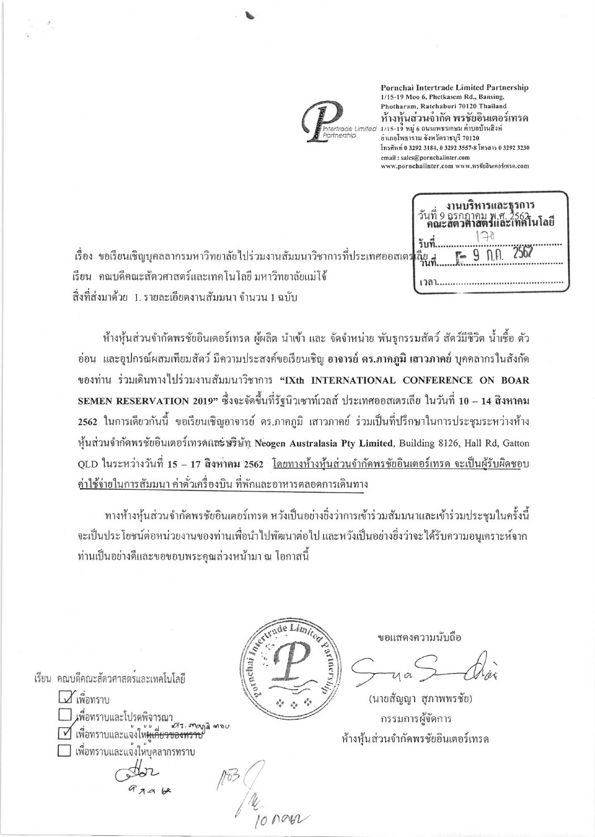

Pornchai Intertrade Limited Partnership 1/15-19 Moo 6, Phetkasem Rd., Bansing, Photharam, Ratchaburi 70120 Thailand ห้างหุ้นส่วนจำกัด พรชัยอินเตอร์เทรด<br>1/15-19 หมู่ 6 ถนนเพรรเกษม ต่ำบลบ้านสิงห่ อำเภอโพธาราม จังหวัดราชบุรี 70120 โทรศัพท์ 0 3292 3184, 0 3292 3557-8 โทรสาร 0 3292 3230 email: sales@pornchaiinter.com www.pornchalinter.com www.พรชัยอินเตอร์เทรค.com

| $F - 9$ n.a. 25<br>ลียู |
|-------------------------|
|                         |

เรื่อง ขอเรียนเชิญบุคลลากรมหาวิทยาลัยไปร่วมงานสัมมนาวิชาการที่ประเทศออสเต เรียน คณบดีคณะสัตวศาสตร์และเทคโนโลยี มหาวิทยาลัยแม่โจ้ ์สิ่งที่ส่งมาด้วย 1. รายละเอียดงานสัมมนา จำนวน 1 ฉบับ

้ห้างหุ้นส่วนจำกัดพรชัยอินเตอร์เทรด ผู้ผลิต นำเข้า และ จัดจำหน่าย พันธุกรรมสัตว์ สัตว์มีชีวิต น้ำเชื้อ ตัว อ่อน และอุปกรณ์ผสมเทียมสัตว์ มีความประสงค์ขอเรียนเชิญ <mark>อาจารย์ ดร.ภาคภูมิ เสาวภาคย์</mark> บุคคลากรในสังกัด ของท่าน ร่วมเดินทางไปร่วมงานสัมมนาวิชาการ "IXth INTERNATIONAL CONFERENCE ON BOAR SEMEN RESERVATION 2019" ซึ่งจะจัดขึ้นที่รัฐนิวเซาท์เวลส์ ประเทศออสเตรเลีย ในวันที่ 10 – 14 สิงหาคม ่ 2562 ในการเดียวกันนี้ ขอเรียนเชิญอาจารย์ คร.ภาคภูมิ เสาวภาคย์ ร่วมเป็นที่ปรึกษาในการประชุมระหว่างห้าง หุ้นส่วนจำกัดพรชัยอินเตอร์เทรคและษริษัท Neogen Australasia Pty Limited, Building 8126, Hall Rd, Gatton OLD ในระหว่างวันที่ 15 – 17 สิงหาคม 2562 โดยทางห้างหุ้นส่วนจำกัดพรชัยอินเตอร์เทรด จะเป็นผู้รับผิดชอบ <u>ค่าใช้จ่ายในการสัมมนา ค่าตั่วเครื่องบิน ที่พักและอาหารตลอดการเดินทาง</u>

ทางห้างหุ้นส่วนจำกัดพรชัยอินเตอร์เทรด หวังเป็นอย่างยิ่งว่าการเข้าร่วมสัมมนาและเข้าร่วมประชุมในครั้งนี้ จะเป็นประโยชน์ต่อหน่วยงานของท่านเพื่อนำไปพัฒนาต่อไป และหวังเป็นอย่างยิ่งว่าจะได้รับความอนุเคราะห์จาก ท่านเป็นอย่างดีและขอขอบพระคณล่วงหน้ามา ณ โอกาสนี้



ขอแสดงความนับถือ

(นายสัญญา สุภาพพรชัย) กรรมการผู้จัดการ ห้างห้นส่วนจำกัดพรชัยอินเตอร์เทรค

เรียน คณบดีคณะสัตวศาสตร์และเทคโนโลยี

L เพื่อทราบ เพื่อทราบและโปรดพิจารณา at. mana mou Minonsาบและแจ้งให้<del>ผู้เกี่ยวข้องทราช</del> ่ | เพื่อทราบและแจงใหบคลากรทราบ